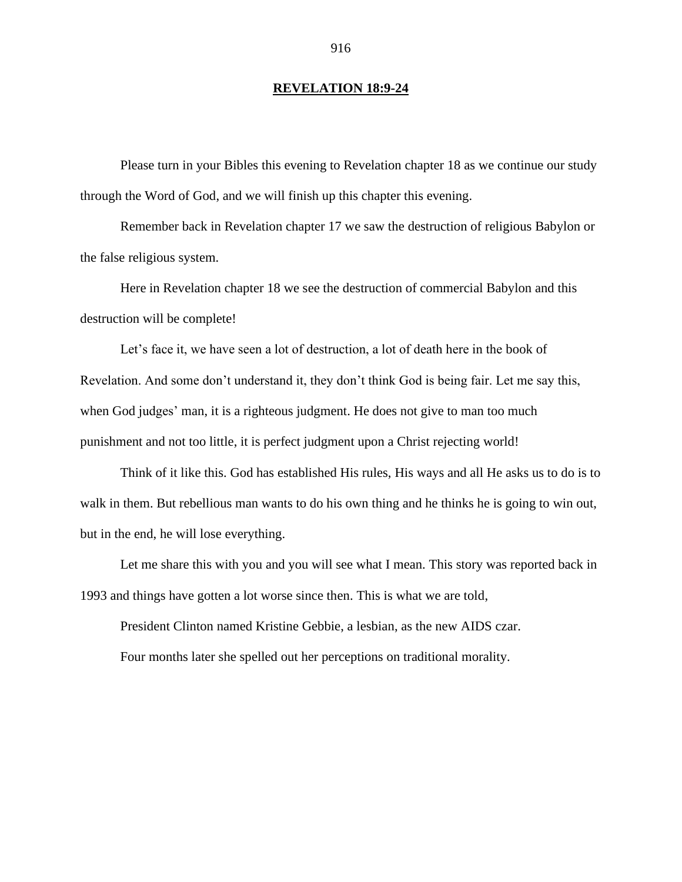### **REVELATION 18:9-24**

Please turn in your Bibles this evening to Revelation chapter 18 as we continue our study through the Word of God, and we will finish up this chapter this evening.

Remember back in Revelation chapter 17 we saw the destruction of religious Babylon or the false religious system.

Here in Revelation chapter 18 we see the destruction of commercial Babylon and this destruction will be complete!

Let's face it, we have seen a lot of destruction, a lot of death here in the book of Revelation. And some don't understand it, they don't think God is being fair. Let me say this, when God judges' man, it is a righteous judgment. He does not give to man too much punishment and not too little, it is perfect judgment upon a Christ rejecting world!

Think of it like this. God has established His rules, His ways and all He asks us to do is to walk in them. But rebellious man wants to do his own thing and he thinks he is going to win out, but in the end, he will lose everything.

Let me share this with you and you will see what I mean. This story was reported back in 1993 and things have gotten a lot worse since then. This is what we are told,

President Clinton named Kristine Gebbie, a lesbian, as the new AIDS czar.

Four months later she spelled out her perceptions on traditional morality.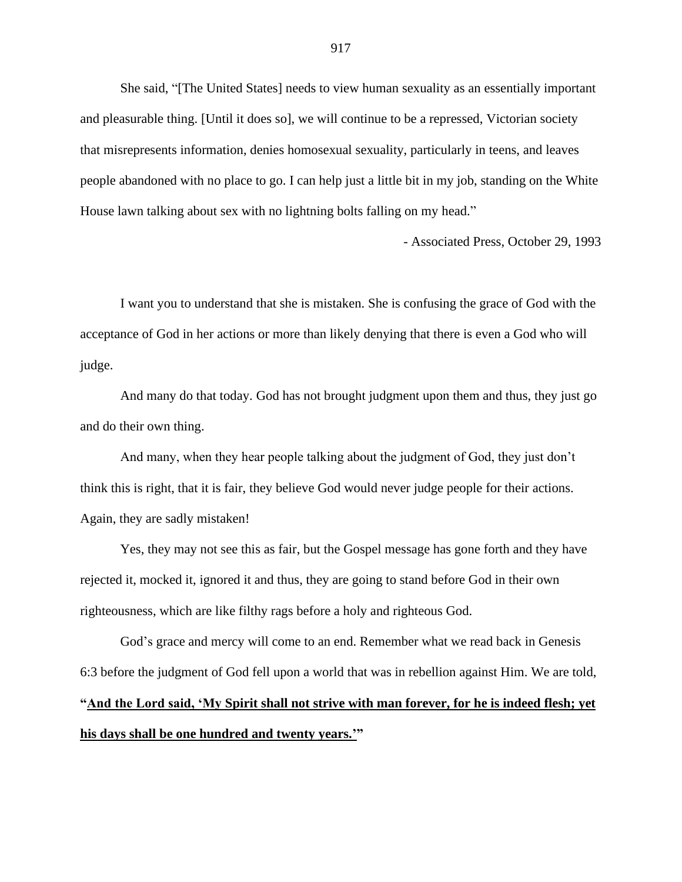She said, "[The United States] needs to view human sexuality as an essentially important and pleasurable thing. [Until it does so], we will continue to be a repressed, Victorian society that misrepresents information, denies homosexual sexuality, particularly in teens, and leaves people abandoned with no place to go. I can help just a little bit in my job, standing on the White House lawn talking about sex with no lightning bolts falling on my head."

- Associated Press, October 29, 1993

I want you to understand that she is mistaken. She is confusing the grace of God with the acceptance of God in her actions or more than likely denying that there is even a God who will judge.

And many do that today. God has not brought judgment upon them and thus, they just go and do their own thing.

And many, when they hear people talking about the judgment of God, they just don't think this is right, that it is fair, they believe God would never judge people for their actions. Again, they are sadly mistaken!

Yes, they may not see this as fair, but the Gospel message has gone forth and they have rejected it, mocked it, ignored it and thus, they are going to stand before God in their own righteousness, which are like filthy rags before a holy and righteous God.

God's grace and mercy will come to an end. Remember what we read back in Genesis 6:3 before the judgment of God fell upon a world that was in rebellion against Him. We are told, **"And the Lord said, 'My Spirit shall not strive with man forever, for he is indeed flesh; yet his days shall be one hundred and twenty years.'"**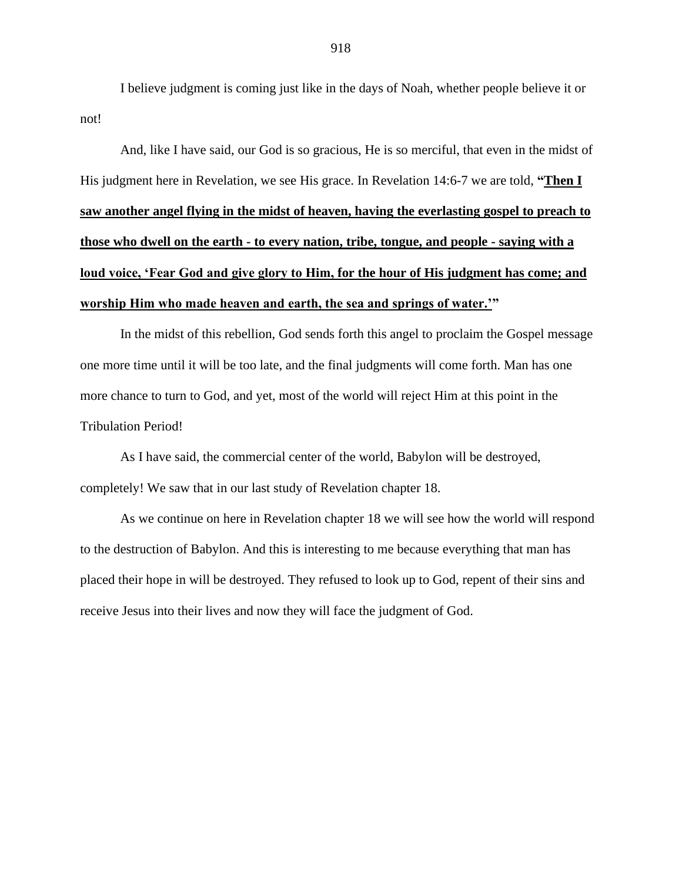I believe judgment is coming just like in the days of Noah, whether people believe it or not!

And, like I have said, our God is so gracious, He is so merciful, that even in the midst of His judgment here in Revelation, we see His grace. In Revelation 14:6-7 we are told, **"Then I saw another angel flying in the midst of heaven, having the everlasting gospel to preach to those who dwell on the earth - to every nation, tribe, tongue, and people - saying with a loud voice, 'Fear God and give glory to Him, for the hour of His judgment has come; and worship Him who made heaven and earth, the sea and springs of water.'"**

In the midst of this rebellion, God sends forth this angel to proclaim the Gospel message one more time until it will be too late, and the final judgments will come forth. Man has one more chance to turn to God, and yet, most of the world will reject Him at this point in the Tribulation Period!

As I have said, the commercial center of the world, Babylon will be destroyed, completely! We saw that in our last study of Revelation chapter 18.

As we continue on here in Revelation chapter 18 we will see how the world will respond to the destruction of Babylon. And this is interesting to me because everything that man has placed their hope in will be destroyed. They refused to look up to God, repent of their sins and receive Jesus into their lives and now they will face the judgment of God.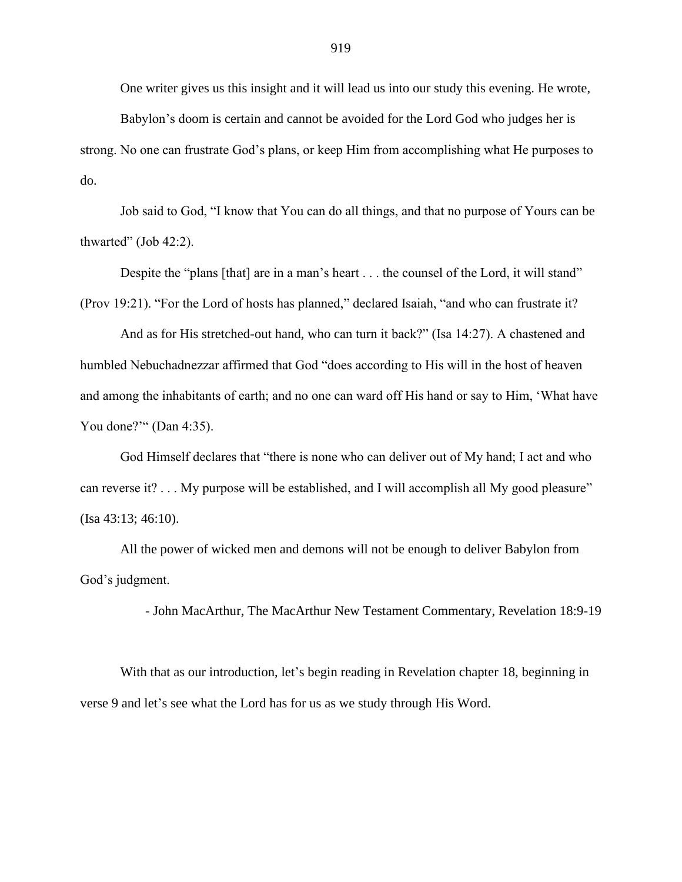One writer gives us this insight and it will lead us into our study this evening. He wrote,

Babylon's doom is certain and cannot be avoided for the Lord God who judges her is strong. No one can frustrate God's plans, or keep Him from accomplishing what He purposes to do.

Job said to God, "I know that You can do all things, and that no purpose of Yours can be thwarted" (Job 42:2).

Despite the "plans [that] are in a man's heart . . . the counsel of the Lord, it will stand" (Prov 19:21). "For the Lord of hosts has planned," declared Isaiah, "and who can frustrate it?

And as for His stretched-out hand, who can turn it back?" (Isa 14:27). A chastened and humbled Nebuchadnezzar affirmed that God "does according to His will in the host of heaven and among the inhabitants of earth; and no one can ward off His hand or say to Him, 'What have You done?'" (Dan 4:35).

God Himself declares that "there is none who can deliver out of My hand; I act and who can reverse it? . . . My purpose will be established, and I will accomplish all My good pleasure" (Isa 43:13; 46:10).

All the power of wicked men and demons will not be enough to deliver Babylon from God's judgment.

- John MacArthur, The MacArthur New Testament Commentary, Revelation 18:9-19

With that as our introduction, let's begin reading in Revelation chapter 18, beginning in verse 9 and let's see what the Lord has for us as we study through His Word.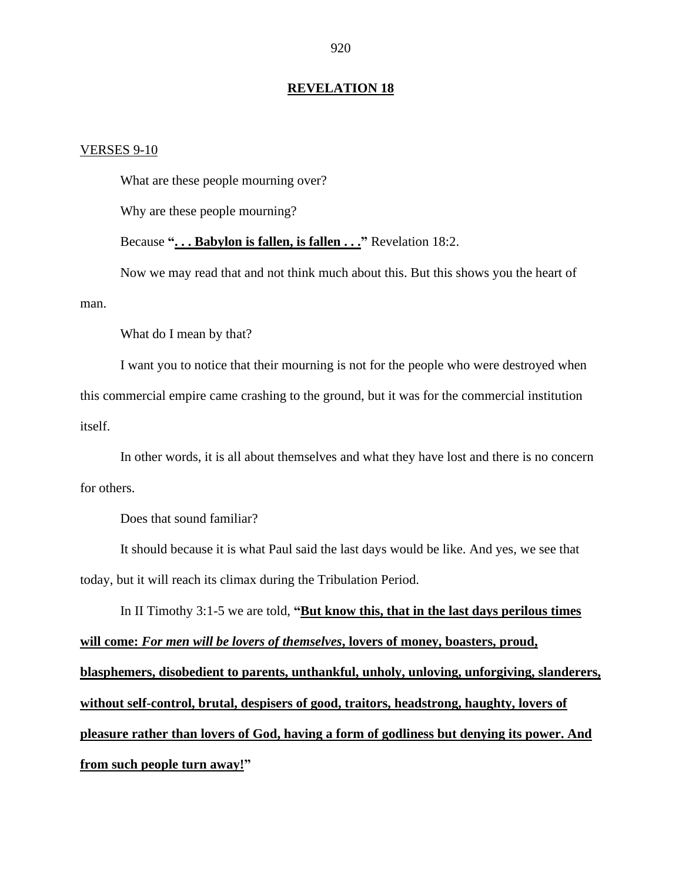### **REVELATION 18**

### VERSES 9-10

What are these people mourning over?

Why are these people mourning?

Because **". . . Babylon is fallen, is fallen . . ."** Revelation 18:2.

Now we may read that and not think much about this. But this shows you the heart of man.

What do I mean by that?

I want you to notice that their mourning is not for the people who were destroyed when this commercial empire came crashing to the ground, but it was for the commercial institution itself.

In other words, it is all about themselves and what they have lost and there is no concern for others.

Does that sound familiar?

It should because it is what Paul said the last days would be like. And yes, we see that today, but it will reach its climax during the Tribulation Period.

In II Timothy 3:1-5 we are told, **"But know this, that in the last days perilous times will come:** *For men will be lovers of themselves***, lovers of money, boasters, proud, blasphemers, disobedient to parents, unthankful, unholy, unloving, unforgiving, slanderers, without self-control, brutal, despisers of good, traitors, headstrong, haughty, lovers of pleasure rather than lovers of God, having a form of godliness but denying its power. And from such people turn away!"**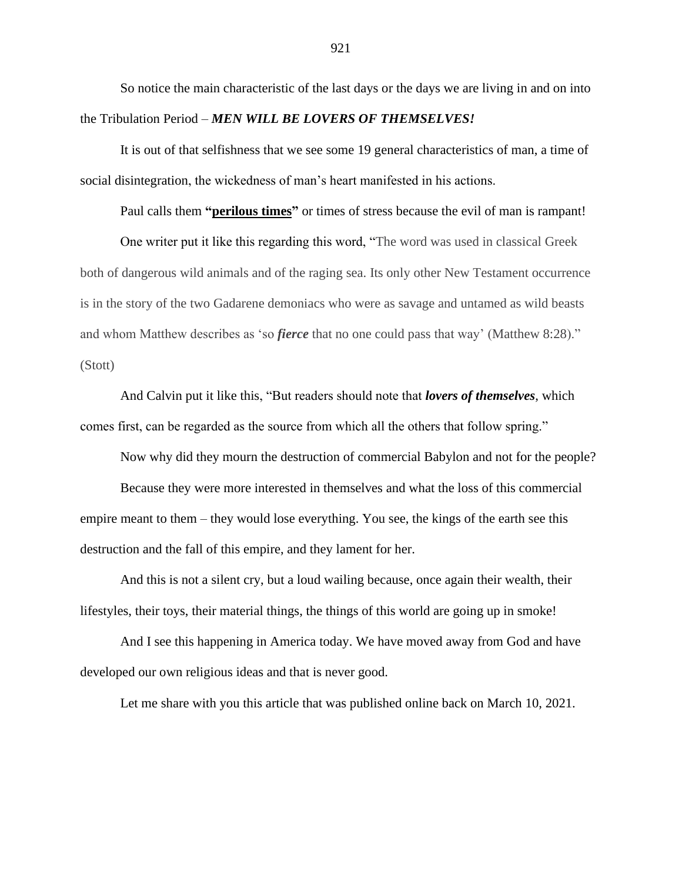So notice the main characteristic of the last days or the days we are living in and on into the Tribulation Period – *MEN WILL BE LOVERS OF THEMSELVES!*

It is out of that selfishness that we see some 19 general characteristics of man, a time of social disintegration, the wickedness of man's heart manifested in his actions.

Paul calls them **"perilous times"** or times of stress because the evil of man is rampant!

One writer put it like this regarding this word, "The word was used in classical Greek both of dangerous wild animals and of the raging sea. Its only other New Testament occurrence is in the story of the two Gadarene demoniacs who were as savage and untamed as wild beasts and whom Matthew describes as 'so *fierce* that no one could pass that way' (Matthew 8:28)." (Stott)

And Calvin put it like this, "But readers should note that *lovers of themselves*, which comes first, can be regarded as the source from which all the others that follow spring."

Now why did they mourn the destruction of commercial Babylon and not for the people?

Because they were more interested in themselves and what the loss of this commercial empire meant to them – they would lose everything. You see, the kings of the earth see this destruction and the fall of this empire, and they lament for her.

And this is not a silent cry, but a loud wailing because, once again their wealth, their lifestyles, their toys, their material things, the things of this world are going up in smoke!

And I see this happening in America today. We have moved away from God and have developed our own religious ideas and that is never good.

Let me share with you this article that was published online back on March 10, 2021.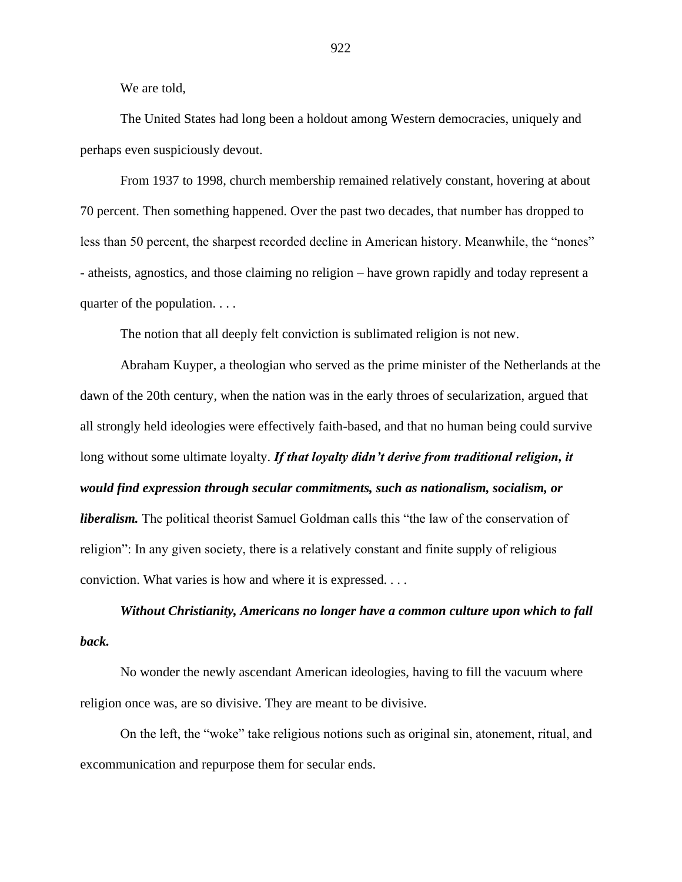We are told,

The United States had long been a holdout among Western democracies, uniquely and perhaps even suspiciously devout.

From 1937 to 1998, church membership remained relatively constant, hovering at about 70 percent. Then something happened. Over the past two decades, that number has dropped to less than 50 percent, the sharpest recorded decline in American history. Meanwhile, the "nones" - atheists, agnostics, and those claiming no religion – have grown rapidly and today represent a quarter of the population. . . .

The notion that all deeply felt conviction is sublimated religion is not new.

Abraham Kuyper, a theologian who served as the prime minister of the Netherlands at the dawn of the 20th century, when the nation was in the early throes of secularization, argued that all strongly held ideologies were effectively faith-based, and that no human being could survive long without some ultimate loyalty. *If that loyalty didn't derive from traditional religion, it would find expression through secular commitments, such as nationalism, socialism, or liberalism.* The political theorist Samuel Goldman calls this "the law of the conservation of religion": In any given society, there is a relatively constant and finite supply of religious conviction. What varies is how and where it is expressed. . . .

*Without Christianity, Americans no longer have a common culture upon which to fall back.*

No wonder the newly ascendant American ideologies, having to fill the vacuum where religion once was, are so divisive. They are meant to be divisive.

On the left, the "woke" take religious notions such as original sin, atonement, ritual, and excommunication and repurpose them for secular ends.

922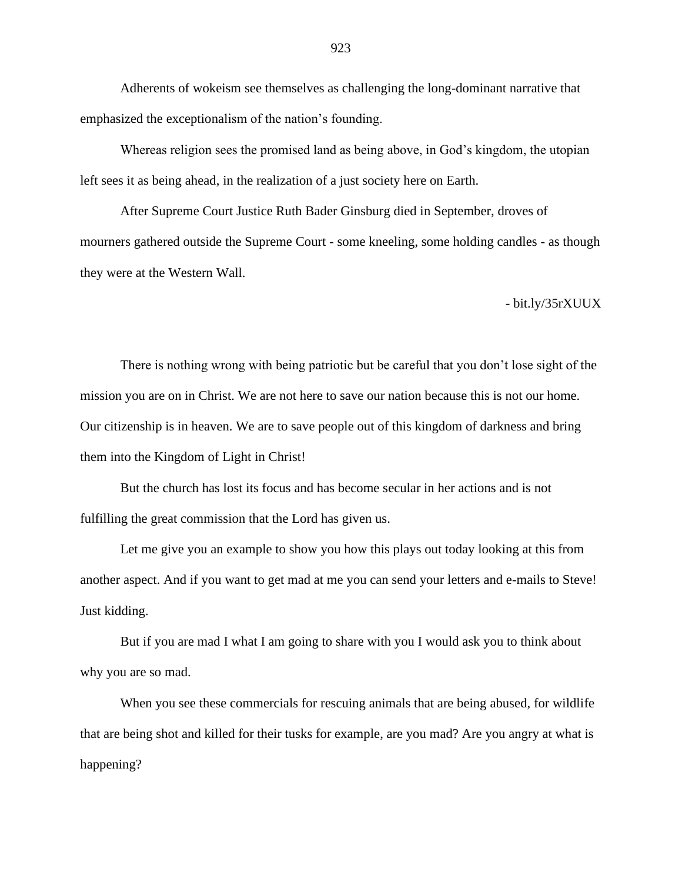Adherents of wokeism see themselves as challenging the long-dominant narrative that emphasized the exceptionalism of the nation's founding.

Whereas religion sees the promised land as being above, in God's kingdom, the utopian left sees it as being ahead, in the realization of a just society here on Earth.

After Supreme Court Justice Ruth Bader Ginsburg died in September, droves of mourners gathered outside the Supreme Court - some kneeling, some holding candles - as though they were at the Western Wall.

- bit.ly/35rXUUX

There is nothing wrong with being patriotic but be careful that you don't lose sight of the mission you are on in Christ. We are not here to save our nation because this is not our home. Our citizenship is in heaven. We are to save people out of this kingdom of darkness and bring them into the Kingdom of Light in Christ!

But the church has lost its focus and has become secular in her actions and is not fulfilling the great commission that the Lord has given us.

Let me give you an example to show you how this plays out today looking at this from another aspect. And if you want to get mad at me you can send your letters and e-mails to Steve! Just kidding.

But if you are mad I what I am going to share with you I would ask you to think about why you are so mad.

When you see these commercials for rescuing animals that are being abused, for wildlife that are being shot and killed for their tusks for example, are you mad? Are you angry at what is happening?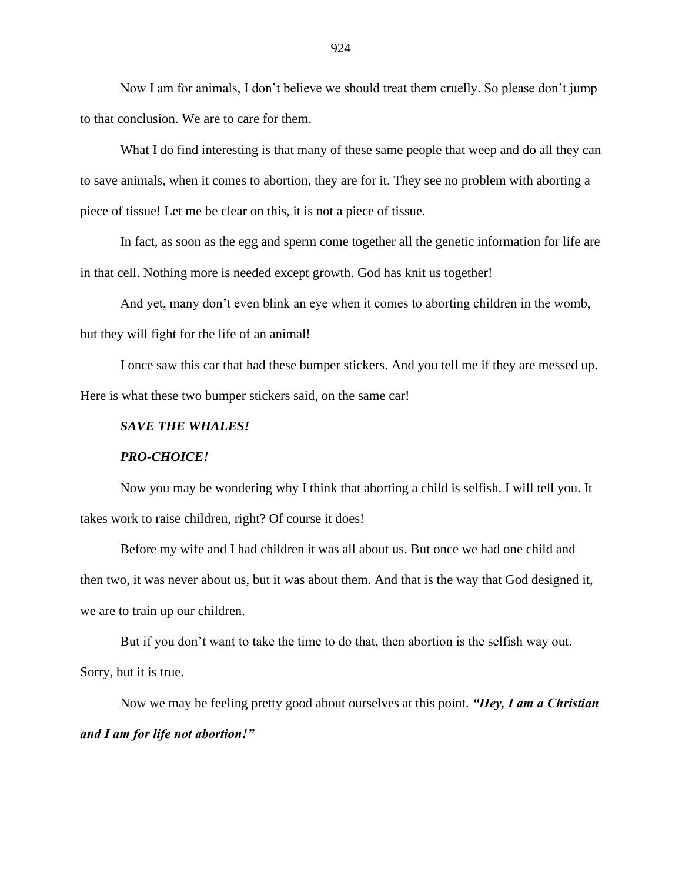Now I am for animals, I don't believe we should treat them cruelly. So please don't jump to that conclusion. We are to care for them.

What I do find interesting is that many of these same people that weep and do all they can to save animals, when it comes to abortion, they are for it. They see no problem with aborting a piece of tissue! Let me be clear on this, it is not a piece of tissue.

In fact, as soon as the egg and sperm come together all the genetic information for life are in that cell. Nothing more is needed except growth. God has knit us together!

And yet, many don't even blink an eye when it comes to aborting children in the womb, but they will fight for the life of an animal!

I once saw this car that had these bumper stickers. And you tell me if they are messed up. Here is what these two bumper stickers said, on the same car!

### *SAVE THE WHALES!*

### *PRO-CHOICE!*

Now you may be wondering why I think that aborting a child is selfish. I will tell you. It takes work to raise children, right? Of course it does!

Before my wife and I had children it was all about us. But once we had one child and then two, it was never about us, but it was about them. And that is the way that God designed it, we are to train up our children.

But if you don't want to take the time to do that, then abortion is the selfish way out. Sorry, but it is true.

Now we may be feeling pretty good about ourselves at this point. *"Hey, I am a Christian and I am for life not abortion!"*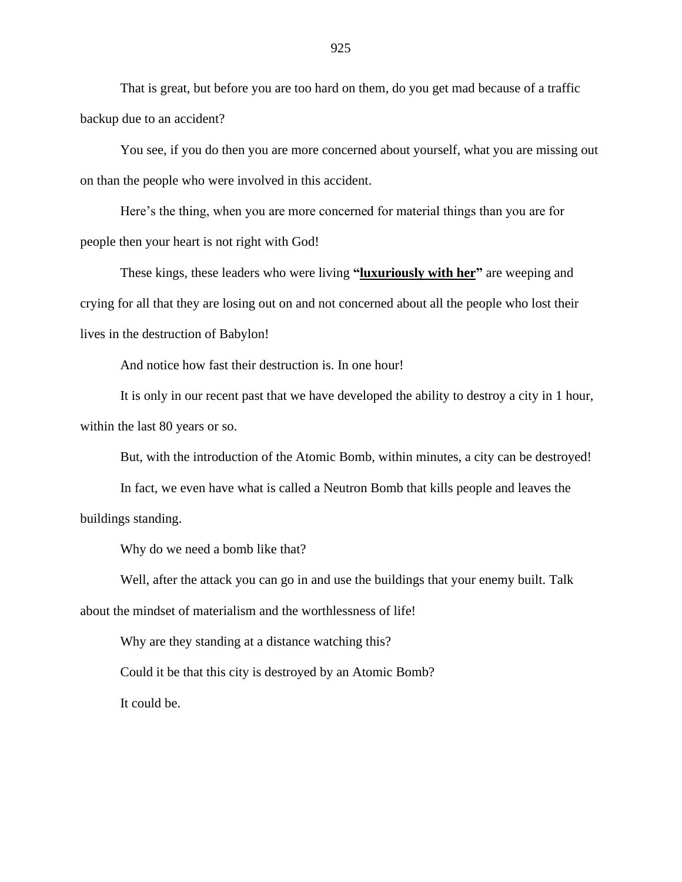That is great, but before you are too hard on them, do you get mad because of a traffic backup due to an accident?

You see, if you do then you are more concerned about yourself, what you are missing out on than the people who were involved in this accident.

Here's the thing, when you are more concerned for material things than you are for people then your heart is not right with God!

These kings, these leaders who were living **"luxuriously with her"** are weeping and crying for all that they are losing out on and not concerned about all the people who lost their lives in the destruction of Babylon!

And notice how fast their destruction is. In one hour!

It is only in our recent past that we have developed the ability to destroy a city in 1 hour, within the last 80 years or so.

But, with the introduction of the Atomic Bomb, within minutes, a city can be destroyed!

In fact, we even have what is called a Neutron Bomb that kills people and leaves the buildings standing.

Why do we need a bomb like that?

Well, after the attack you can go in and use the buildings that your enemy built. Talk about the mindset of materialism and the worthlessness of life!

Why are they standing at a distance watching this?

Could it be that this city is destroyed by an Atomic Bomb?

It could be.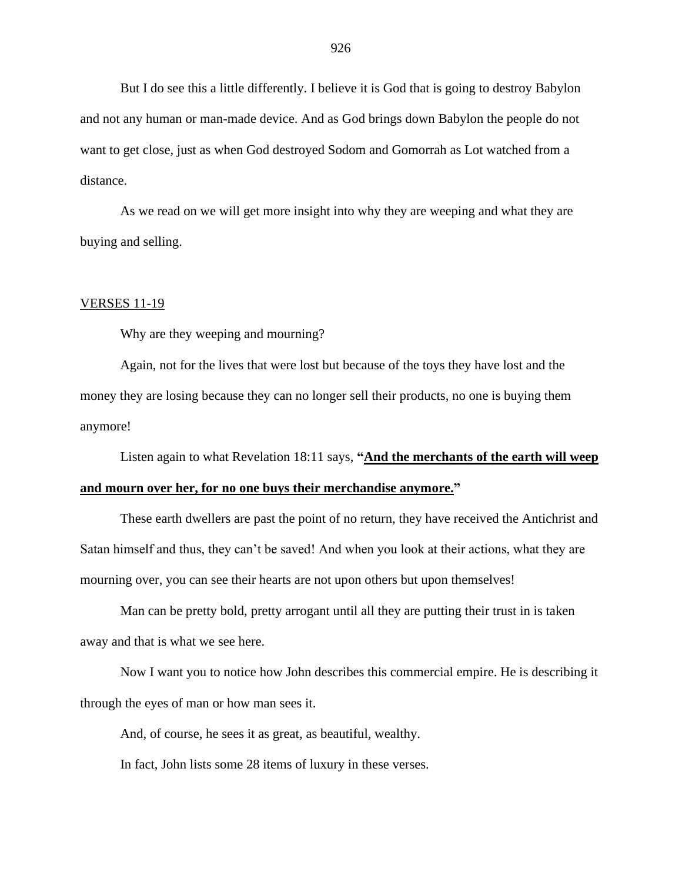But I do see this a little differently. I believe it is God that is going to destroy Babylon and not any human or man-made device. And as God brings down Babylon the people do not want to get close, just as when God destroyed Sodom and Gomorrah as Lot watched from a distance.

As we read on we will get more insight into why they are weeping and what they are buying and selling.

### **VERSES 11-19**

Why are they weeping and mourning?

Again, not for the lives that were lost but because of the toys they have lost and the money they are losing because they can no longer sell their products, no one is buying them anymore!

Listen again to what Revelation 18:11 says, **"And the merchants of the earth will weep and mourn over her, for no one buys their merchandise anymore."**

These earth dwellers are past the point of no return, they have received the Antichrist and Satan himself and thus, they can't be saved! And when you look at their actions, what they are mourning over, you can see their hearts are not upon others but upon themselves!

Man can be pretty bold, pretty arrogant until all they are putting their trust in is taken away and that is what we see here.

Now I want you to notice how John describes this commercial empire. He is describing it through the eyes of man or how man sees it.

And, of course, he sees it as great, as beautiful, wealthy.

In fact, John lists some 28 items of luxury in these verses.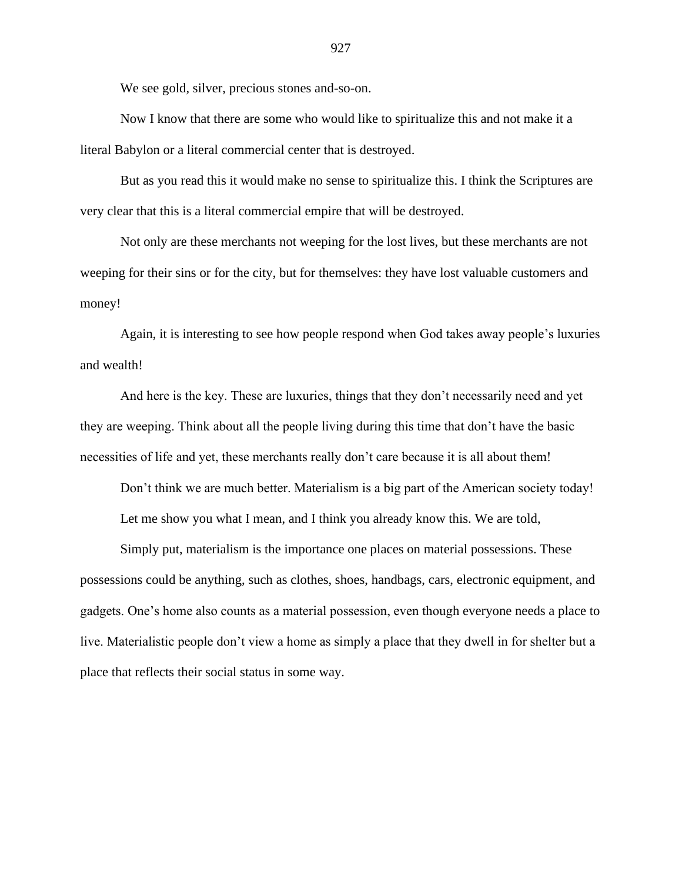We see gold, silver, precious stones and-so-on.

Now I know that there are some who would like to spiritualize this and not make it a literal Babylon or a literal commercial center that is destroyed.

But as you read this it would make no sense to spiritualize this. I think the Scriptures are very clear that this is a literal commercial empire that will be destroyed.

Not only are these merchants not weeping for the lost lives, but these merchants are not weeping for their sins or for the city, but for themselves: they have lost valuable customers and money!

Again, it is interesting to see how people respond when God takes away people's luxuries and wealth!

And here is the key. These are luxuries, things that they don't necessarily need and yet they are weeping. Think about all the people living during this time that don't have the basic necessities of life and yet, these merchants really don't care because it is all about them!

Don't think we are much better. Materialism is a big part of the American society today!

Let me show you what I mean, and I think you already know this. We are told,

Simply put, materialism is the importance one places on material possessions. These possessions could be anything, such as clothes, shoes, handbags, cars, electronic equipment, and gadgets. One's home also counts as a material possession, even though everyone needs a place to live. Materialistic people don't view a home as simply a place that they dwell in for shelter but a place that reflects their social status in some way.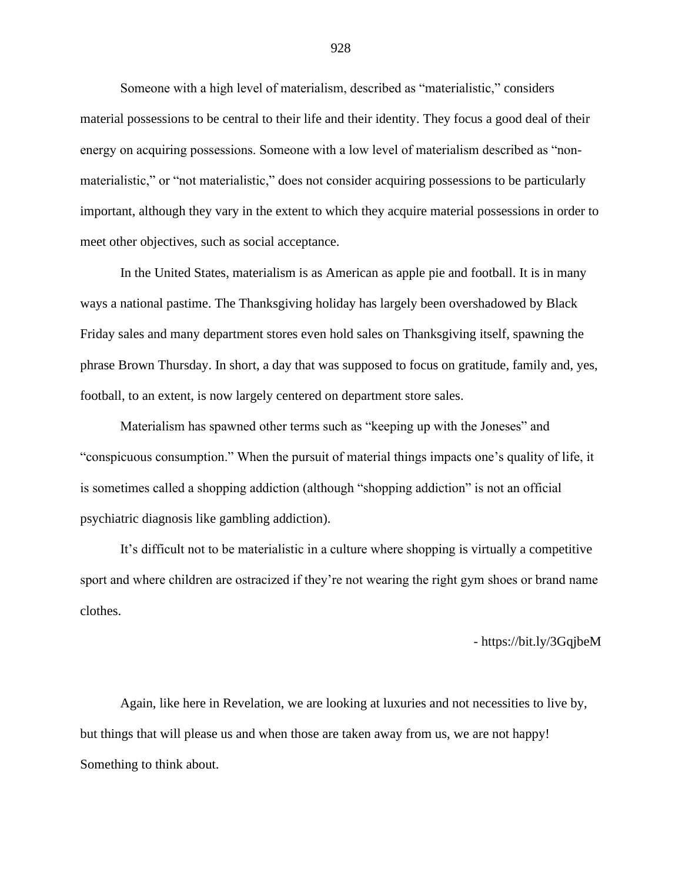Someone with a high level of materialism, described as "materialistic," considers material possessions to be central to their life and their identity. They focus a good deal of their energy on acquiring possessions. Someone with a low level of materialism described as "nonmaterialistic," or "not materialistic," does not consider acquiring possessions to be particularly important, although they vary in the extent to which they acquire material possessions in order to meet other objectives, such as social acceptance.

In the United States, materialism is as American as apple pie and football. It is in many ways a national pastime. The Thanksgiving holiday has largely been overshadowed by Black Friday sales and many department stores even hold sales on Thanksgiving itself, spawning the phrase Brown Thursday. In short, a day that was supposed to focus on gratitude, family and, yes, football, to an extent, is now largely centered on department store sales.

Materialism has spawned other terms such as "keeping up with the Joneses" and "conspicuous consumption." When the pursuit of material things impacts one's quality of life, it is sometimes called a shopping addiction (although "shopping addiction" is not an official psychiatric diagnosis like gambling addiction).

It's difficult not to be materialistic in a culture where shopping is virtually a competitive sport and where children are ostracized if they're not wearing the right gym shoes or brand name clothes.

- https://bit.ly/3GqjbeM

Again, like here in Revelation, we are looking at luxuries and not necessities to live by, but things that will please us and when those are taken away from us, we are not happy! Something to think about.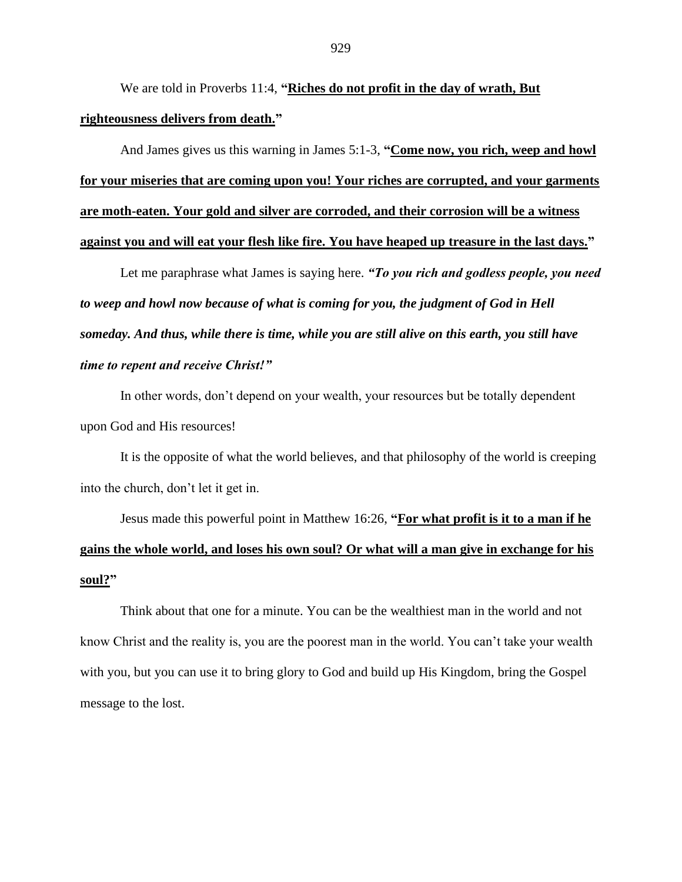We are told in Proverbs 11:4, **"Riches do not profit in the day of wrath, But righteousness delivers from death."**

And James gives us this warning in James 5:1-3, **"Come now, you rich, weep and howl for your miseries that are coming upon you! Your riches are corrupted, and your garments are moth-eaten. Your gold and silver are corroded, and their corrosion will be a witness against you and will eat your flesh like fire. You have heaped up treasure in the last days."**

Let me paraphrase what James is saying here. *"To you rich and godless people, you need to weep and howl now because of what is coming for you, the judgment of God in Hell someday. And thus, while there is time, while you are still alive on this earth, you still have time to repent and receive Christ!"*

In other words, don't depend on your wealth, your resources but be totally dependent upon God and His resources!

It is the opposite of what the world believes, and that philosophy of the world is creeping into the church, don't let it get in.

Jesus made this powerful point in Matthew 16:26, **"For what profit is it to a man if he gains the whole world, and loses his own soul? Or what will a man give in exchange for his soul?"**

Think about that one for a minute. You can be the wealthiest man in the world and not know Christ and the reality is, you are the poorest man in the world. You can't take your wealth with you, but you can use it to bring glory to God and build up His Kingdom, bring the Gospel message to the lost.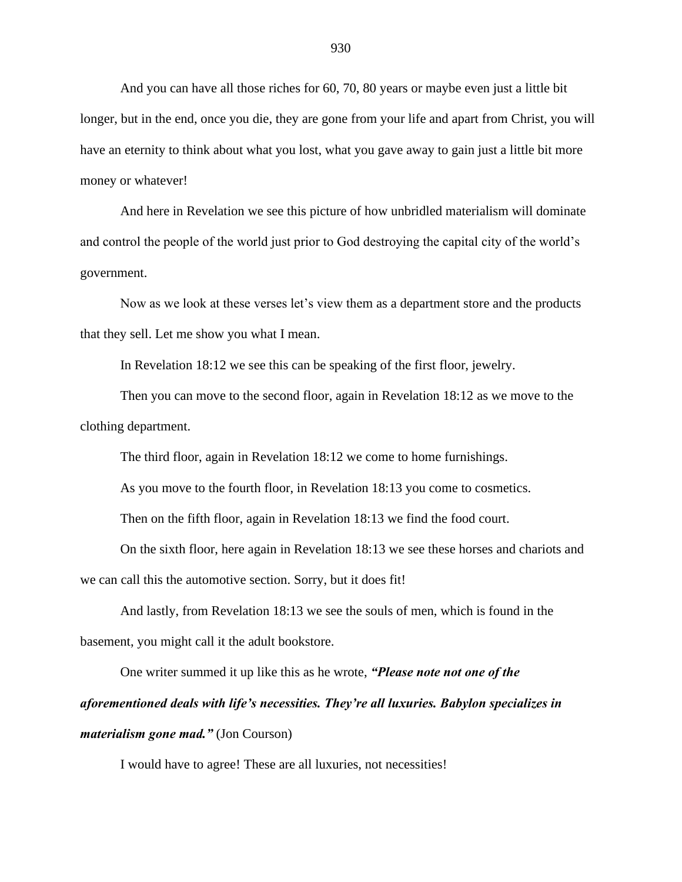And you can have all those riches for 60, 70, 80 years or maybe even just a little bit longer, but in the end, once you die, they are gone from your life and apart from Christ, you will have an eternity to think about what you lost, what you gave away to gain just a little bit more money or whatever!

And here in Revelation we see this picture of how unbridled materialism will dominate and control the people of the world just prior to God destroying the capital city of the world's government.

Now as we look at these verses let's view them as a department store and the products that they sell. Let me show you what I mean.

In Revelation 18:12 we see this can be speaking of the first floor, jewelry.

Then you can move to the second floor, again in Revelation 18:12 as we move to the clothing department.

The third floor, again in Revelation 18:12 we come to home furnishings.

As you move to the fourth floor, in Revelation 18:13 you come to cosmetics.

Then on the fifth floor, again in Revelation 18:13 we find the food court.

On the sixth floor, here again in Revelation 18:13 we see these horses and chariots and we can call this the automotive section. Sorry, but it does fit!

And lastly, from Revelation 18:13 we see the souls of men, which is found in the basement, you might call it the adult bookstore.

One writer summed it up like this as he wrote, *"Please note not one of the* 

*aforementioned deals with life's necessities. They're all luxuries. Babylon specializes in materialism gone mad."* (Jon Courson)

I would have to agree! These are all luxuries, not necessities!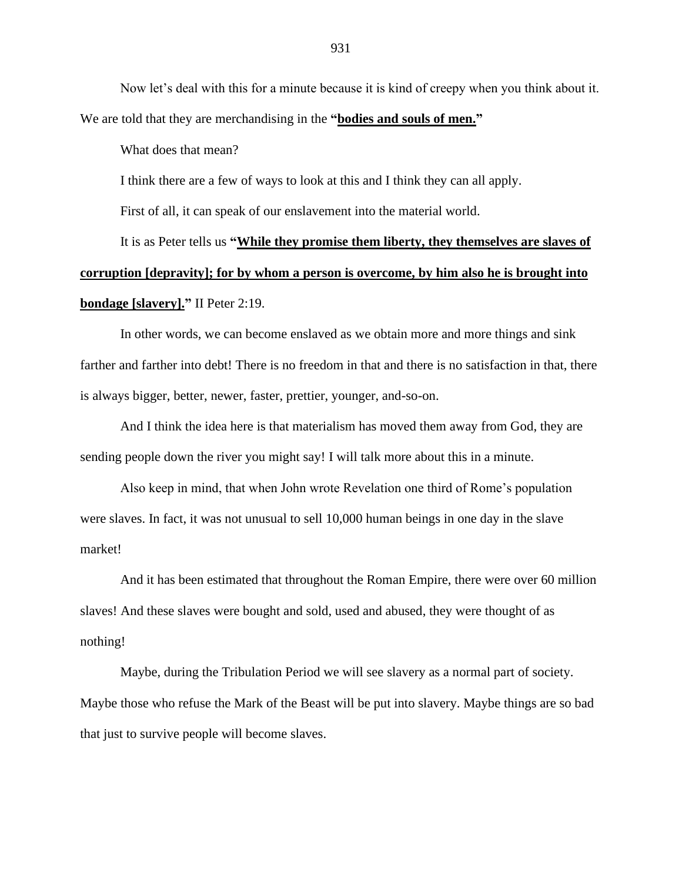Now let's deal with this for a minute because it is kind of creepy when you think about it. We are told that they are merchandising in the **"bodies and souls of men."**

What does that mean?

I think there are a few of ways to look at this and I think they can all apply.

First of all, it can speak of our enslavement into the material world.

It is as Peter tells us **"While they promise them liberty, they themselves are slaves of corruption [depravity]; for by whom a person is overcome, by him also he is brought into bondage [slavery]."** II Peter 2:19.

In other words, we can become enslaved as we obtain more and more things and sink farther and farther into debt! There is no freedom in that and there is no satisfaction in that, there is always bigger, better, newer, faster, prettier, younger, and-so-on.

And I think the idea here is that materialism has moved them away from God, they are sending people down the river you might say! I will talk more about this in a minute.

Also keep in mind, that when John wrote Revelation one third of Rome's population were slaves. In fact, it was not unusual to sell 10,000 human beings in one day in the slave market!

And it has been estimated that throughout the Roman Empire, there were over 60 million slaves! And these slaves were bought and sold, used and abused, they were thought of as nothing!

Maybe, during the Tribulation Period we will see slavery as a normal part of society. Maybe those who refuse the Mark of the Beast will be put into slavery. Maybe things are so bad that just to survive people will become slaves.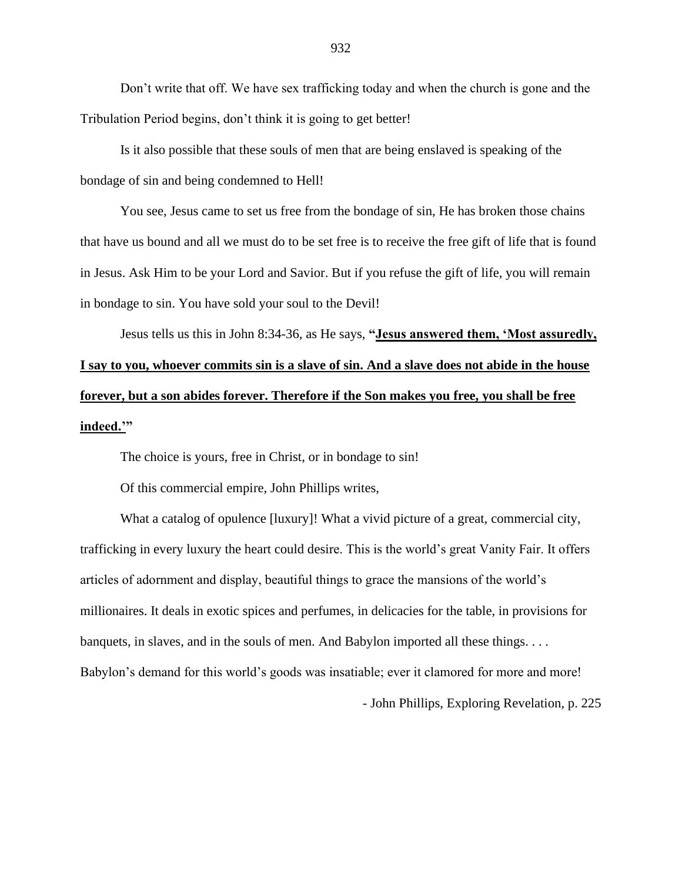Don't write that off. We have sex trafficking today and when the church is gone and the Tribulation Period begins, don't think it is going to get better!

Is it also possible that these souls of men that are being enslaved is speaking of the bondage of sin and being condemned to Hell!

You see, Jesus came to set us free from the bondage of sin, He has broken those chains that have us bound and all we must do to be set free is to receive the free gift of life that is found in Jesus. Ask Him to be your Lord and Savior. But if you refuse the gift of life, you will remain in bondage to sin. You have sold your soul to the Devil!

# Jesus tells us this in John 8:34-36, as He says, **"Jesus answered them, 'Most assuredly, I say to you, whoever commits sin is a slave of sin. And a slave does not abide in the house forever, but a son abides forever. Therefore if the Son makes you free, you shall be free indeed.'"**

The choice is yours, free in Christ, or in bondage to sin!

Of this commercial empire, John Phillips writes,

What a catalog of opulence [luxury]! What a vivid picture of a great, commercial city, trafficking in every luxury the heart could desire. This is the world's great Vanity Fair. It offers articles of adornment and display, beautiful things to grace the mansions of the world's millionaires. It deals in exotic spices and perfumes, in delicacies for the table, in provisions for banquets, in slaves, and in the souls of men. And Babylon imported all these things. . . . Babylon's demand for this world's goods was insatiable; ever it clamored for more and more!

- John Phillips, Exploring Revelation, p. 225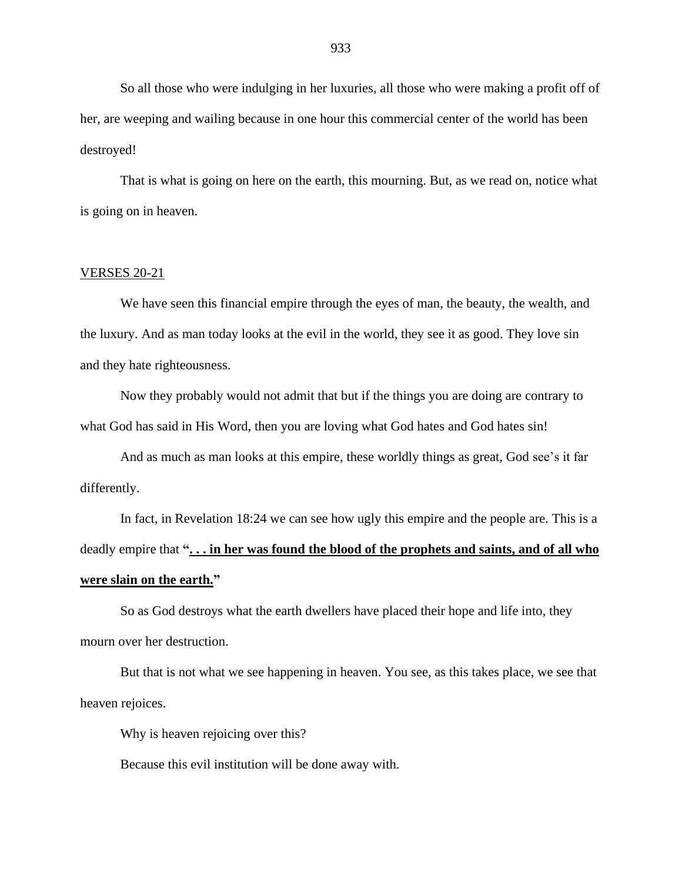So all those who were indulging in her luxuries, all those who were making a profit off of her, are weeping and wailing because in one hour this commercial center of the world has been destroyed!

That is what is going on here on the earth, this mourning. But, as we read on, notice what is going on in heaven.

### VERSES 20-21

We have seen this financial empire through the eyes of man, the beauty, the wealth, and the luxury. And as man today looks at the evil in the world, they see it as good. They love sin and they hate righteousness.

Now they probably would not admit that but if the things you are doing are contrary to what God has said in His Word, then you are loving what God hates and God hates sin!

And as much as man looks at this empire, these worldly things as great, God see's it far differently.

In fact, in Revelation 18:24 we can see how ugly this empire and the people are. This is a deadly empire that **". . . in her was found the blood of the prophets and saints, and of all who were slain on the earth."**

So as God destroys what the earth dwellers have placed their hope and life into, they mourn over her destruction.

But that is not what we see happening in heaven. You see, as this takes place, we see that heaven rejoices.

Why is heaven rejoicing over this?

Because this evil institution will be done away with.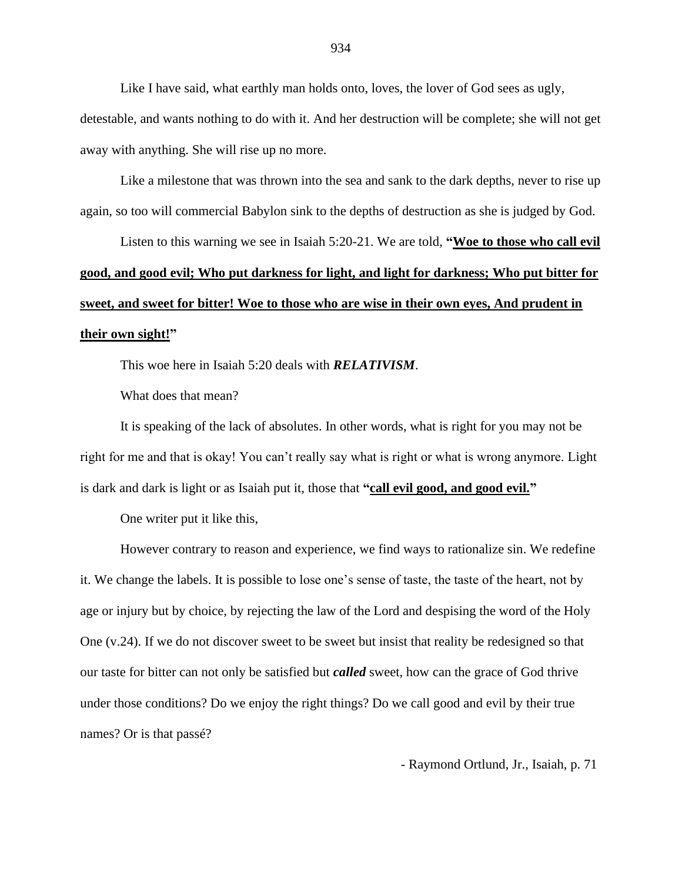Like I have said, what earthly man holds onto, loves, the lover of God sees as ugly,

detestable, and wants nothing to do with it. And her destruction will be complete; she will not get away with anything. She will rise up no more.

Like a milestone that was thrown into the sea and sank to the dark depths, never to rise up again, so too will commercial Babylon sink to the depths of destruction as she is judged by God.

Listen to this warning we see in Isaiah 5:20-21. We are told, "Woe to those who call evil **good, and good evil; Who put darkness for light, and light for darkness; Who put bitter for sweet, and sweet for bitter! Woe to those who are wise in their own eyes, And prudent in their own sight!"**

This woe here in Isaiah 5:20 deals with *RELATIVISM*.

What does that mean?

It is speaking of the lack of absolutes. In other words, what is right for you may not be right for me and that is okay! You can't really say what is right or what is wrong anymore. Light is dark and dark is light or as Isaiah put it, those that **"call evil good, and good evil."**

One writer put it like this,

However contrary to reason and experience, we find ways to rationalize sin. We redefine it. We change the labels. It is possible to lose one's sense of taste, the taste of the heart, not by age or injury but by choice, by rejecting the law of the Lord and despising the word of the Holy One (v.24). If we do not discover sweet to be sweet but insist that reality be redesigned so that our taste for bitter can not only be satisfied but *called* sweet, how can the grace of God thrive under those conditions? Do we enjoy the right things? Do we call good and evil by their true names? Or is that passé?

- Raymond Ortlund, Jr., Isaiah, p. 71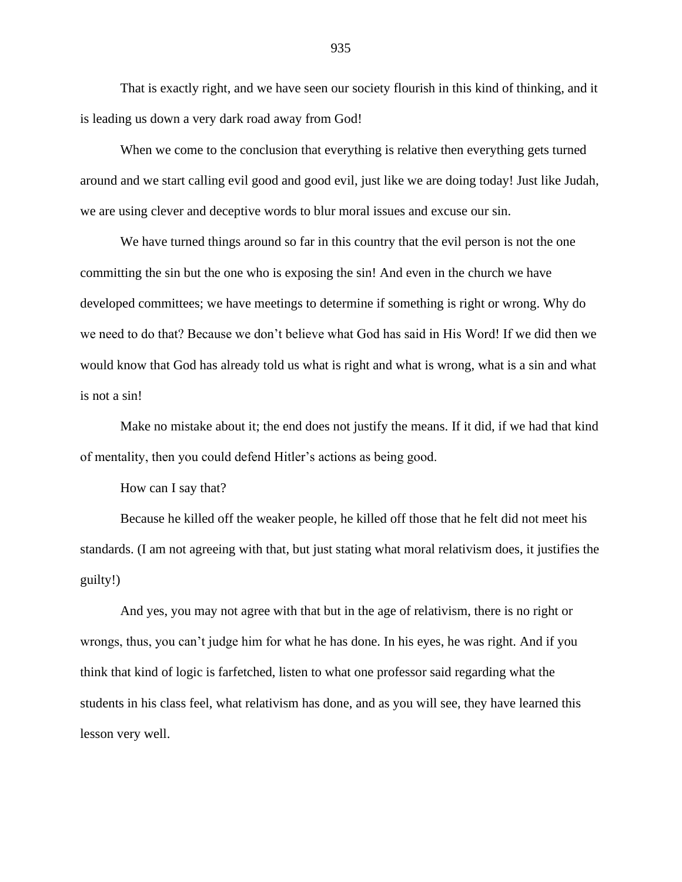That is exactly right, and we have seen our society flourish in this kind of thinking, and it is leading us down a very dark road away from God!

When we come to the conclusion that everything is relative then everything gets turned around and we start calling evil good and good evil, just like we are doing today! Just like Judah, we are using clever and deceptive words to blur moral issues and excuse our sin.

We have turned things around so far in this country that the evil person is not the one committing the sin but the one who is exposing the sin! And even in the church we have developed committees; we have meetings to determine if something is right or wrong. Why do we need to do that? Because we don't believe what God has said in His Word! If we did then we would know that God has already told us what is right and what is wrong, what is a sin and what is not a sin!

Make no mistake about it; the end does not justify the means. If it did, if we had that kind of mentality, then you could defend Hitler's actions as being good.

How can I say that?

Because he killed off the weaker people, he killed off those that he felt did not meet his standards. (I am not agreeing with that, but just stating what moral relativism does, it justifies the guilty!)

And yes, you may not agree with that but in the age of relativism, there is no right or wrongs, thus, you can't judge him for what he has done. In his eyes, he was right. And if you think that kind of logic is farfetched, listen to what one professor said regarding what the students in his class feel, what relativism has done, and as you will see, they have learned this lesson very well.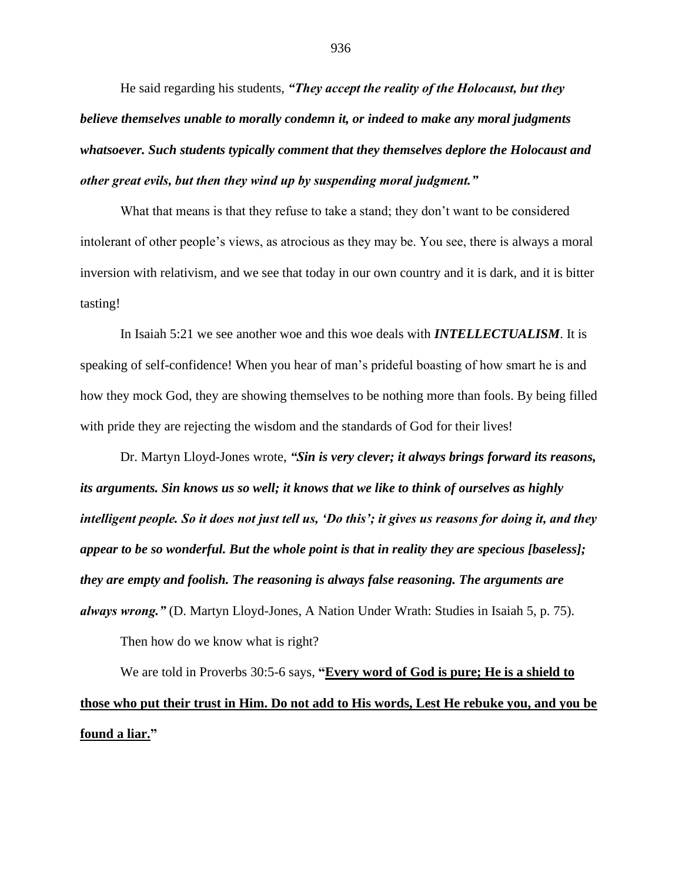He said regarding his students, *"They accept the reality of the Holocaust, but they believe themselves unable to morally condemn it, or indeed to make any moral judgments whatsoever. Such students typically comment that they themselves deplore the Holocaust and other great evils, but then they wind up by suspending moral judgment."*

What that means is that they refuse to take a stand; they don't want to be considered intolerant of other people's views, as atrocious as they may be. You see, there is always a moral inversion with relativism, and we see that today in our own country and it is dark, and it is bitter tasting!

In Isaiah 5:21 we see another woe and this woe deals with *INTELLECTUALISM*. It is speaking of self-confidence! When you hear of man's prideful boasting of how smart he is and how they mock God, they are showing themselves to be nothing more than fools. By being filled with pride they are rejecting the wisdom and the standards of God for their lives!

Dr. Martyn Lloyd-Jones wrote, *"Sin is very clever; it always brings forward its reasons, its arguments. Sin knows us so well; it knows that we like to think of ourselves as highly intelligent people. So it does not just tell us, 'Do this'; it gives us reasons for doing it, and they appear to be so wonderful. But the whole point is that in reality they are specious [baseless]; they are empty and foolish. The reasoning is always false reasoning. The arguments are always wrong."* (D. Martyn Lloyd-Jones, A Nation Under Wrath: Studies in Isaiah 5, p. 75). Then how do we know what is right?

We are told in Proverbs 30:5-6 says, **"Every word of God is pure; He is a shield to those who put their trust in Him. Do not add to His words, Lest He rebuke you, and you be found a liar."**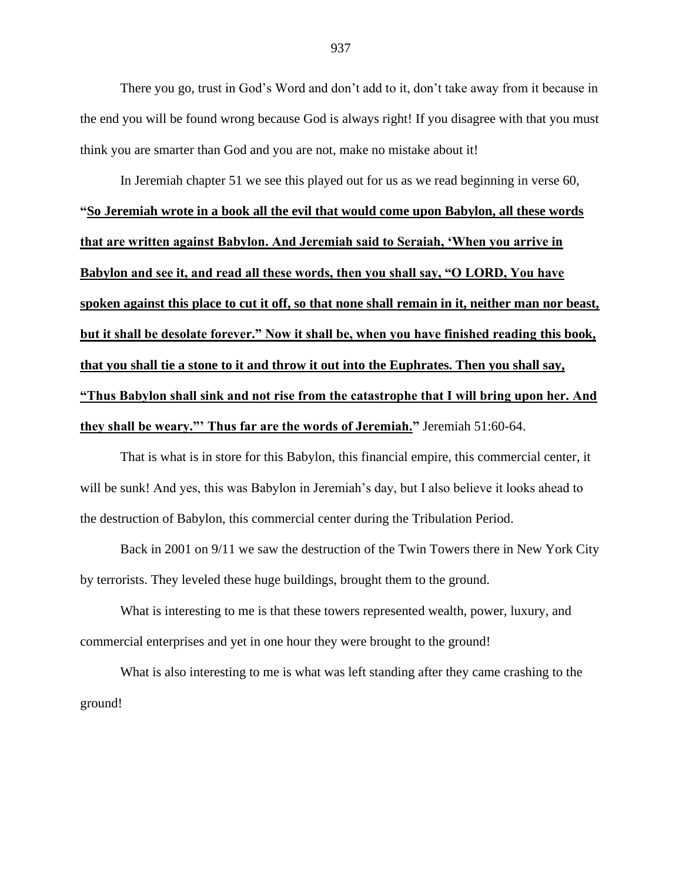There you go, trust in God's Word and don't add to it, don't take away from it because in the end you will be found wrong because God is always right! If you disagree with that you must think you are smarter than God and you are not, make no mistake about it!

In Jeremiah chapter 51 we see this played out for us as we read beginning in verse 60, **"So Jeremiah wrote in a book all the evil that would come upon Babylon, all these words that are written against Babylon. And Jeremiah said to Seraiah, 'When you arrive in Babylon and see it, and read all these words, then you shall say, "O LORD, You have spoken against this place to cut it off, so that none shall remain in it, neither man nor beast, but it shall be desolate forever." Now it shall be, when you have finished reading this book, that you shall tie a stone to it and throw it out into the Euphrates. Then you shall say, "Thus Babylon shall sink and not rise from the catastrophe that I will bring upon her. And they shall be weary."' Thus far are the words of Jeremiah."** Jeremiah 51:60-64.

That is what is in store for this Babylon, this financial empire, this commercial center, it will be sunk! And yes, this was Babylon in Jeremiah's day, but I also believe it looks ahead to the destruction of Babylon, this commercial center during the Tribulation Period.

Back in 2001 on 9/11 we saw the destruction of the Twin Towers there in New York City by terrorists. They leveled these huge buildings, brought them to the ground.

What is interesting to me is that these towers represented wealth, power, luxury, and commercial enterprises and yet in one hour they were brought to the ground!

What is also interesting to me is what was left standing after they came crashing to the ground!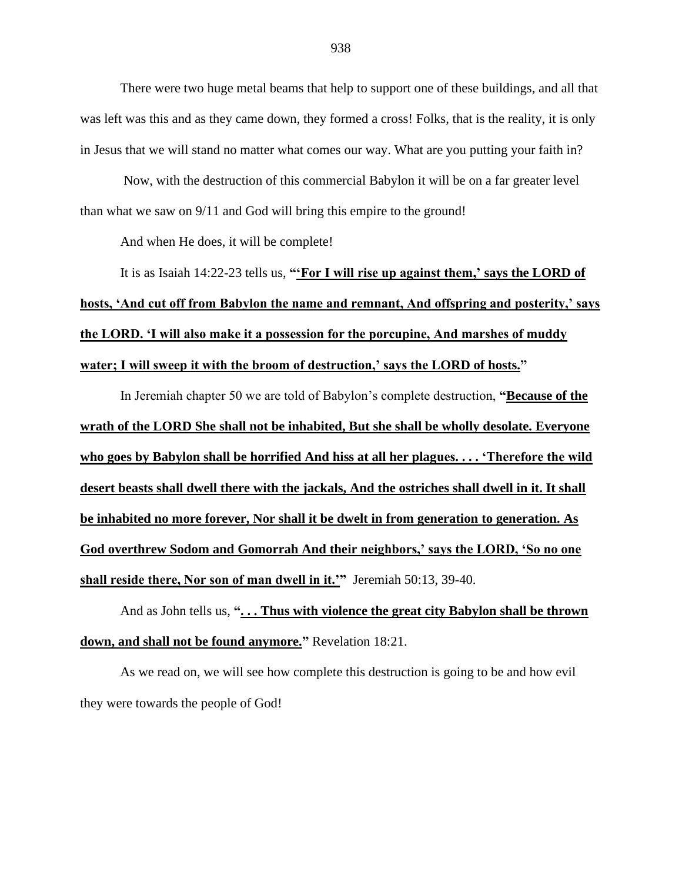There were two huge metal beams that help to support one of these buildings, and all that was left was this and as they came down, they formed a cross! Folks, that is the reality, it is only in Jesus that we will stand no matter what comes our way. What are you putting your faith in?

Now, with the destruction of this commercial Babylon it will be on a far greater level than what we saw on 9/11 and God will bring this empire to the ground!

And when He does, it will be complete!

# It is as Isaiah 14:22-23 tells us, **"'For I will rise up against them,' says the LORD of hosts, 'And cut off from Babylon the name and remnant, And offspring and posterity,' says the LORD. 'I will also make it a possession for the porcupine, And marshes of muddy water; I will sweep it with the broom of destruction,' says the LORD of hosts."**

In Jeremiah chapter 50 we are told of Babylon's complete destruction, **"Because of the wrath of the LORD She shall not be inhabited, But she shall be wholly desolate. Everyone who goes by Babylon shall be horrified And hiss at all her plagues. . . . 'Therefore the wild desert beasts shall dwell there with the jackals, And the ostriches shall dwell in it. It shall be inhabited no more forever, Nor shall it be dwelt in from generation to generation. As God overthrew Sodom and Gomorrah And their neighbors,' says the LORD, 'So no one shall reside there, Nor son of man dwell in it.'"** Jeremiah 50:13, 39-40.

And as John tells us, **". . . Thus with violence the great city Babylon shall be thrown down, and shall not be found anymore."** Revelation 18:21.

As we read on, we will see how complete this destruction is going to be and how evil they were towards the people of God!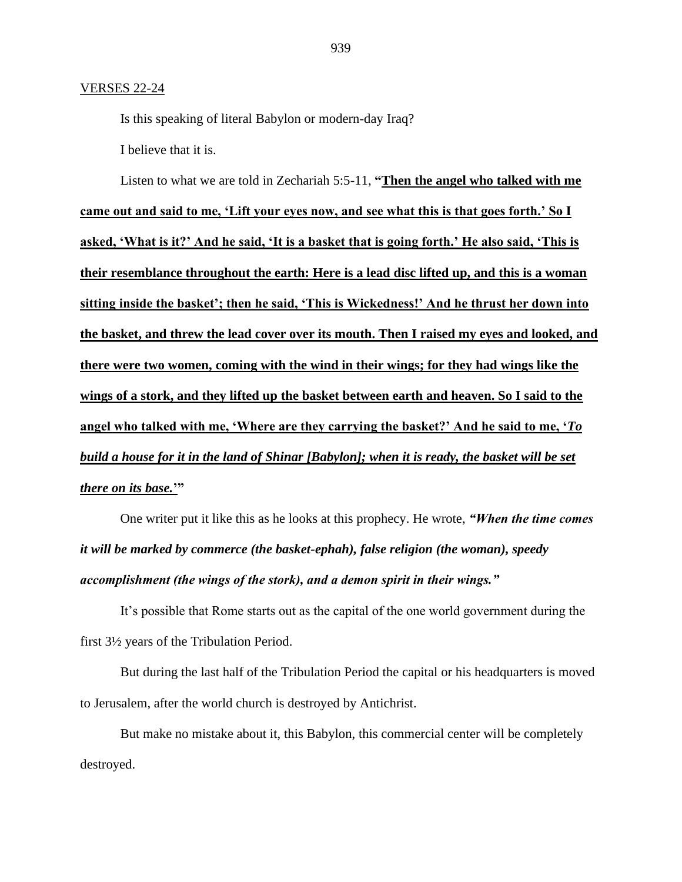#### VERSES 22-24

Is this speaking of literal Babylon or modern-day Iraq?

I believe that it is.

Listen to what we are told in Zechariah 5:5-11, **"Then the angel who talked with me came out and said to me, 'Lift your eyes now, and see what this is that goes forth.' So I asked, 'What is it?' And he said, 'It is a basket that is going forth.' He also said, 'This is their resemblance throughout the earth: Here is a lead disc lifted up, and this is a woman sitting inside the basket'; then he said, 'This is Wickedness!' And he thrust her down into the basket, and threw the lead cover over its mouth. Then I raised my eyes and looked, and there were two women, coming with the wind in their wings; for they had wings like the wings of a stork, and they lifted up the basket between earth and heaven. So I said to the angel who talked with me, 'Where are they carrying the basket?' And he said to me, '***To build a house for it in the land of Shinar [Babylon]; when it is ready, the basket will be set there on its base.***'"**

One writer put it like this as he looks at this prophecy. He wrote, *"When the time comes it will be marked by commerce (the basket-ephah), false religion (the woman), speedy accomplishment (the wings of the stork), and a demon spirit in their wings."*

It's possible that Rome starts out as the capital of the one world government during the first 3½ years of the Tribulation Period.

But during the last half of the Tribulation Period the capital or his headquarters is moved to Jerusalem, after the world church is destroyed by Antichrist.

But make no mistake about it, this Babylon, this commercial center will be completely destroyed.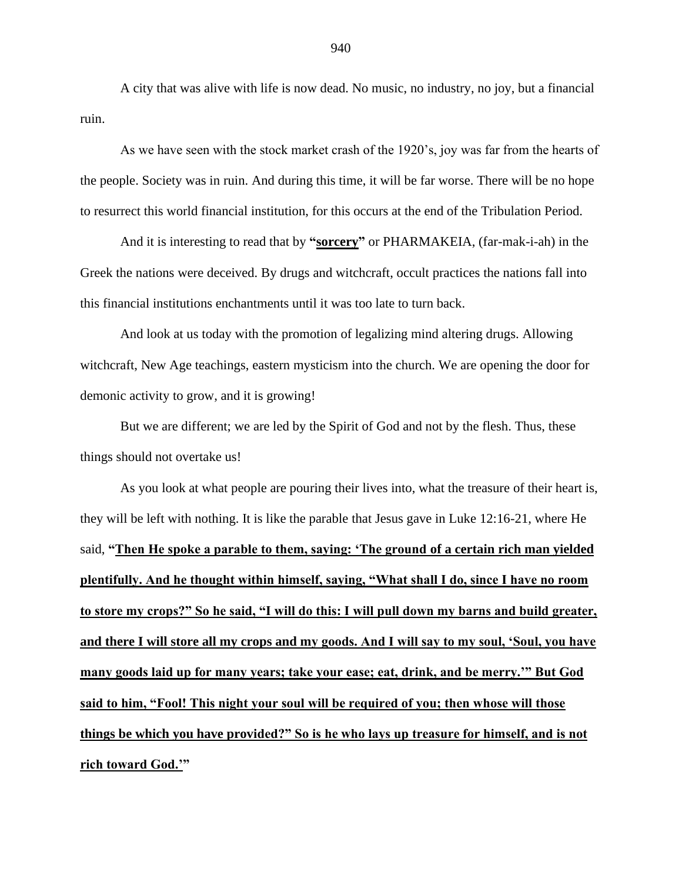A city that was alive with life is now dead. No music, no industry, no joy, but a financial ruin.

As we have seen with the stock market crash of the 1920's, joy was far from the hearts of the people. Society was in ruin. And during this time, it will be far worse. There will be no hope to resurrect this world financial institution, for this occurs at the end of the Tribulation Period.

And it is interesting to read that by **"sorcery"** or PHARMAKEIA, (far-mak-i-ah) in the Greek the nations were deceived. By drugs and witchcraft, occult practices the nations fall into this financial institutions enchantments until it was too late to turn back.

And look at us today with the promotion of legalizing mind altering drugs. Allowing witchcraft, New Age teachings, eastern mysticism into the church. We are opening the door for demonic activity to grow, and it is growing!

But we are different; we are led by the Spirit of God and not by the flesh. Thus, these things should not overtake us!

As you look at what people are pouring their lives into, what the treasure of their heart is, they will be left with nothing. It is like the parable that Jesus gave in Luke 12:16-21, where He said, **"Then He spoke a parable to them, saying: 'The ground of a certain rich man yielded plentifully. And he thought within himself, saying, "What shall I do, since I have no room to store my crops?" So he said, "I will do this: I will pull down my barns and build greater, and there I will store all my crops and my goods. And I will say to my soul, 'Soul, you have many goods laid up for many years; take your ease; eat, drink, and be merry.'" But God said to him, "Fool! This night your soul will be required of you; then whose will those things be which you have provided?" So is he who lays up treasure for himself, and is not rich toward God.'"**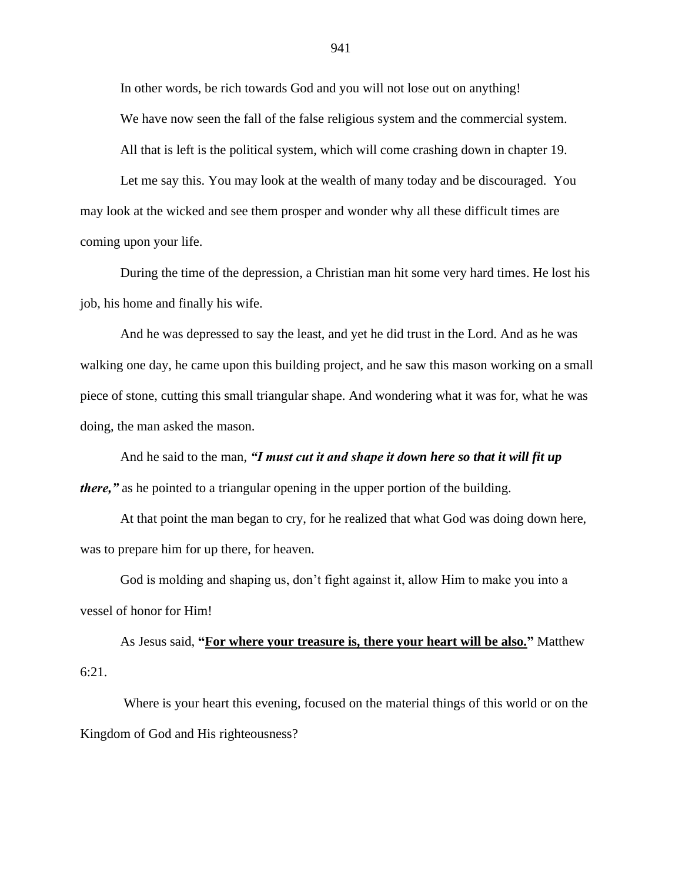In other words, be rich towards God and you will not lose out on anything!

We have now seen the fall of the false religious system and the commercial system.

All that is left is the political system, which will come crashing down in chapter 19.

Let me say this. You may look at the wealth of many today and be discouraged. You may look at the wicked and see them prosper and wonder why all these difficult times are coming upon your life.

During the time of the depression, a Christian man hit some very hard times. He lost his job, his home and finally his wife.

And he was depressed to say the least, and yet he did trust in the Lord. And as he was walking one day, he came upon this building project, and he saw this mason working on a small piece of stone, cutting this small triangular shape. And wondering what it was for, what he was doing, the man asked the mason.

And he said to the man, *"I must cut it and shape it down here so that it will fit up there,*" as he pointed to a triangular opening in the upper portion of the building.

At that point the man began to cry, for he realized that what God was doing down here, was to prepare him for up there, for heaven.

God is molding and shaping us, don't fight against it, allow Him to make you into a vessel of honor for Him!

As Jesus said, **"For where your treasure is, there your heart will be also."** Matthew 6:21.

Where is your heart this evening, focused on the material things of this world or on the Kingdom of God and His righteousness?